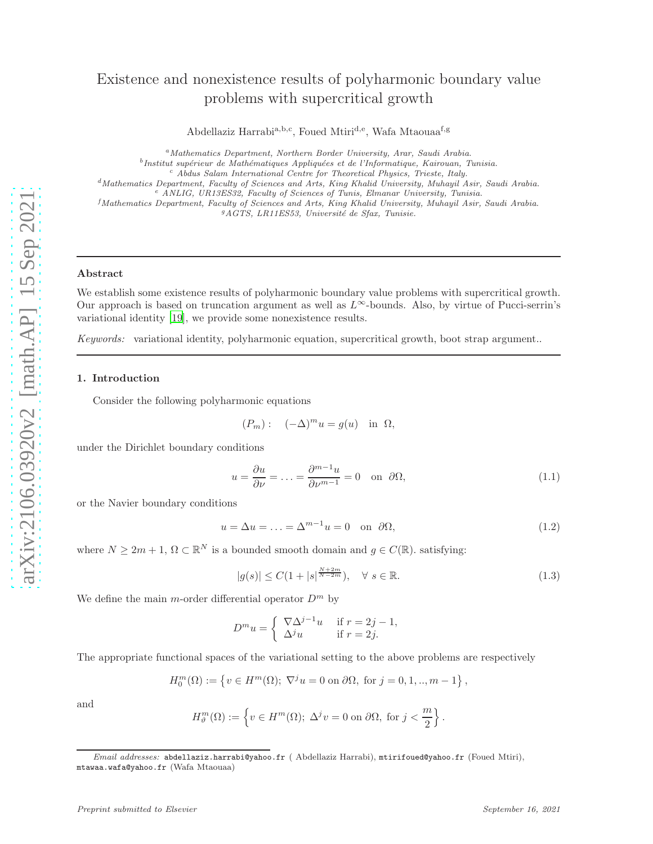# Existence and nonexistence results of polyharmonic boundary value problems with supercritical growth

Abdellaziz Harrabi<sup>a, b, c</sup>, Foued Mtiri<sup>d, e</sup>, Wafa Mtaouaa<sup>f, g</sup>

<sup>a</sup>*Mathematics Department, Northern Border University, Arar, Saudi Arabia.* <sup>b</sup>Institut supérieur de Mathématiques Appliquées et de l'Informatique, Kairouan, Tunisia. <sup>c</sup> *Abdus Salam International Centre for Theoretical Physics, Trieste, Italy.* <sup>d</sup>*Mathematics Department, Faculty of Sciences and Arts, King Khalid University, Muhayil Asir, Saudi Arabia.* <sup>e</sup> *ANLIG, UR13ES32, Faculty of Sciences of Tunis, Elmanar University, Tunisia.*

<sup>f</sup>*Mathematics Department, Faculty of Sciences and Arts, King Khalid University, Muhayil Asir, Saudi Arabia.* <sup>9</sup>AGTS, LR11ES53, Université de Sfax, Tunisie.

## Abstract

We establish some existence results of polyharmonic boundary value problems with supercritical growth. Our approach is based on truncation argument as well as  $L^{\infty}$ -bounds. Also, by virtue of Pucci-serrin's variational identity [\[19](#page-10-0)], we provide some nonexistence results.

Keywords: variational identity, polyharmonic equation, supercritical growth, boot strap argument..

#### 1. Introduction

Consider the following polyharmonic equations

$$
(P_m): (-\Delta)^m u = g(u) \text{ in } \Omega,
$$

under the Dirichlet boundary conditions

$$
u = \frac{\partial u}{\partial \nu} = \dots = \frac{\partial^{m-1} u}{\partial \nu^{m-1}} = 0 \quad \text{on} \quad \partial \Omega,
$$
\n(1.1)

or the Navier boundary conditions

<span id="page-0-2"></span>
$$
u = \Delta u = \dots = \Delta^{m-1} u = 0 \quad \text{on} \quad \partial \Omega,\tag{1.2}
$$

where  $N \geq 2m + 1$ ,  $\Omega \subset \mathbb{R}^N$  is a bounded smooth domain and  $g \in C(\mathbb{R})$ . satisfying:

$$
|g(s)| \le C(1 + |s|^{\frac{N+2m}{N-2m}}), \quad \forall \ s \in \mathbb{R}.
$$
 (1.3)

<span id="page-0-1"></span><span id="page-0-0"></span>.

We define the main m-order differential operator  $D^m$  by

$$
D^m u = \begin{cases} \nabla \Delta^{j-1} u & \text{if } r = 2j - 1, \\ \Delta^j u & \text{if } r = 2j. \end{cases}
$$

The appropriate functional spaces of the variational setting to the above problems are respectively

$$
H_0^m(\Omega) := \left\{ v \in H^m(\Omega); \ \nabla^j u = 0 \text{ on } \partial\Omega, \text{ for } j = 0, 1, \dots, m - 1 \right\},\
$$

and

$$
H^{m}_{\vartheta}(\Omega):=\left\{v\in H^{m}(\Omega);\ \Delta^j v=0\ \text{on\ }\partial\Omega,\ \text{for\ }j<\frac{m}{2}\right\}
$$

*Email addresses:* abdellaziz.harrabi@yahoo.fr ( Abdellaziz Harrabi), mtirifoued@yahoo.fr (Foued Mtiri), mtawaa.wafa@yahoo.fr (Wafa Mtaouaa)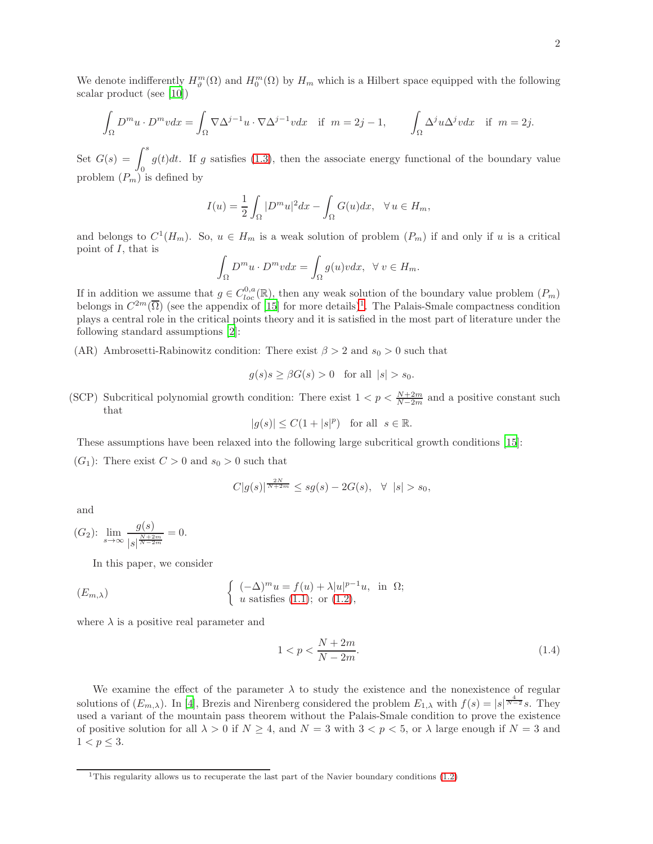We denote indifferently  $H_{\theta}^{m}(\Omega)$  and  $H_{0}^{m}(\Omega)$  by  $H_{m}$  which is a Hilbert space equipped with the following scalar product (see [\[10\]](#page-9-0))

$$
\int_{\Omega} D^m u \cdot D^m v dx = \int_{\Omega} \nabla \Delta^{j-1} u \cdot \nabla \Delta^{j-1} v dx \quad \text{if } m = 2j - 1, \qquad \int_{\Omega} \Delta^j u \Delta^j v dx \quad \text{if } m = 2j.
$$

Set  $G(s) = \int^s$ 0  $g(t)dt$ . If g satisfies [\(1.3\)](#page-0-0), then the associate energy functional of the boundary value problem  $(P_m)$  is defined by

$$
I(u) = \frac{1}{2} \int_{\Omega} |D^m u|^2 dx - \int_{\Omega} G(u) dx, \quad \forall u \in H_m,
$$

and belongs to  $C^1(H_m)$ . So,  $u \in H_m$  is a weak solution of problem  $(P_m)$  if and only if u is a critical point of  $I$ , that is

$$
\int_{\Omega} D^m u \cdot D^m v dx = \int_{\Omega} g(u)v dx, \ \ \forall \ v \in H_m.
$$

If in addition we assume that  $g \in C^{0,a}_{loc}(\mathbb{R})$ , then any weak solution of the boundary value problem  $(P_m)$ belongs in  $C^{2m}(\overline{\Omega})$  (see the appendix of [\[15\]](#page-9-1) for more details)<sup>[1](#page-1-0)</sup>. The Palais-Smale compactness condition plays a central role in the critical points theory and it is satisfied in the most part of literature under the following standard assumptions [\[2](#page-9-2)]:

(AR) Ambrosetti-Rabinowitz condition: There exist  $\beta > 2$  and  $s_0 > 0$  such that

$$
g(s)s \geq \beta G(s) > 0 \quad \text{for all } |s| > s_0.
$$

(SCP) Subcritical polynomial growth condition: There exist  $1 < p < \frac{N+2m}{N-2m}$  and a positive constant such that

$$
|g(s)| \le C(1+|s|^p) \quad \text{for all} \ \ s \in \mathbb{R}.
$$

These assumptions have been relaxed into the following large subcritical growth conditions [\[15\]](#page-9-1):

 $(G_1)$ : There exist  $C > 0$  and  $s_0 > 0$  such that

$$
C|g(s)|^{\frac{2N}{N+2m}} \le sg(s) - 2G(s), \quad \forall \ |s| > s_0,
$$

and

$$
(G_2): \lim_{s \to \infty} \frac{g(s)}{|s|^{\frac{N+2m}{N-2m}}} = 0.
$$

In this paper, we consider

$$
(E_{m,\lambda}) \qquad \qquad \left\{ \begin{array}{ll} (-\Delta)^m u = f(u) + \lambda |u|^{p-1} u, & \text{in } \Omega; \\ u \text{ satisfies (1.1); or (1.2)}, \end{array} \right.
$$

where  $\lambda$  is a positive real parameter and

<span id="page-1-1"></span>
$$
1 < p < \frac{N + 2m}{N - 2m}.\tag{1.4}
$$

We examine the effect of the parameter  $\lambda$  to study the existence and the nonexistence of regular solutions of  $(E_{m,\lambda})$ . In [\[4\]](#page-9-3), Brezis and Nirenberg considered the problem  $E_{1,\lambda}$  with  $f(s) = |s|^{\frac{4}{N-2}} s$ . They used a variant of the mountain pass theorem without the Palais-Smale condition to prove the existence of positive solution for all  $\lambda > 0$  if  $N \ge 4$ , and  $N = 3$  with  $3 < p < 5$ , or  $\lambda$  large enough if  $N = 3$  and  $1 < p \leq 3$ .

<span id="page-1-0"></span><sup>&</sup>lt;sup>1</sup>This regularity allows us to recuperate the last part of the Navier boundary conditions  $(1.2)$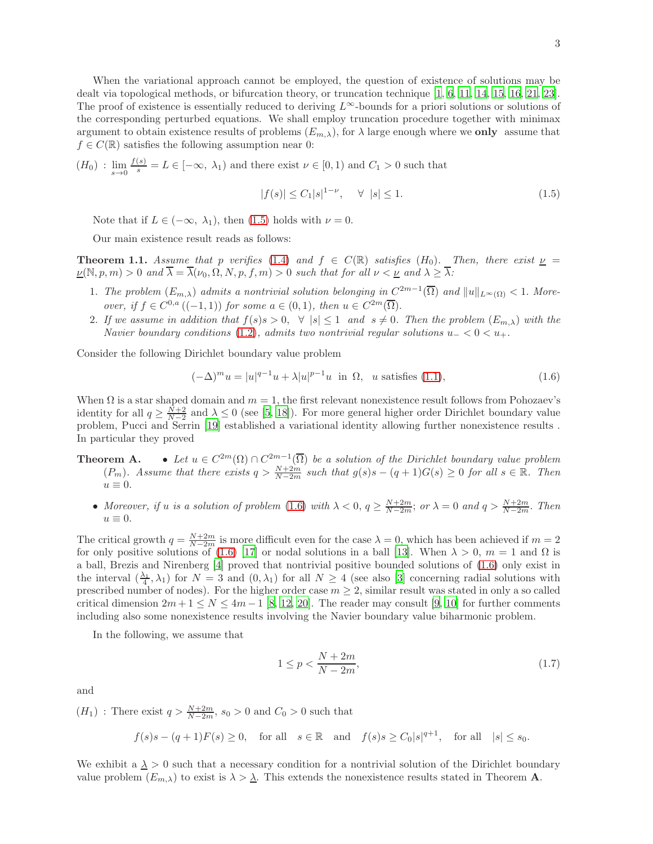When the variational approach cannot be employed, the question of existence of solutions may be dealt via topological methods, or bifurcation theory, or truncation technique [\[1](#page-9-4), [6](#page-9-5), [11,](#page-9-6) [14,](#page-9-7) [15,](#page-9-1) [16,](#page-9-8) [21](#page-10-1), [23\]](#page-10-2). The proof of existence is essentially reduced to deriving  $L^{\infty}$ -bounds for a priori solutions or solutions of the corresponding perturbed equations. We shall employ truncation procedure together with minimax argument to obtain existence results of problems  $(E_{m,\lambda})$ , for  $\lambda$  large enough where we only assume that  $f \in C(\mathbb{R})$  satisfies the following assumption near 0:

 $(H_0)$ :  $\lim_{s\to 0} \frac{f(s)}{s} = L \in [-\infty, \lambda_1)$  and there exist  $\nu \in [0,1)$  and  $C_1 > 0$  such that

<span id="page-2-3"></span><span id="page-2-0"></span>
$$
|f(s)| \le C_1|s|^{1-\nu}, \quad \forall \ |s| \le 1.
$$
 (1.5)

Note that if  $L \in (-\infty, \lambda_1)$ , then [\(1.5\)](#page-2-0) holds with  $\nu = 0$ .

Our main existence result reads as follows:

**Theorem 1.1.** Assume that p verifies [\(1.4\)](#page-1-1) and  $f \in C(\mathbb{R})$  satisfies (H<sub>0</sub>). Then, there exist  $\nu$  $\nu(\mathbb{N}, p, m) > 0$  and  $\overline{\lambda} = \overline{\lambda}(\nu_0, \Omega, N, p, f, m) > 0$  such that for all  $\nu < \underline{\nu}$  and  $\lambda \geq \overline{\lambda}$ :

- 1. The problem  $(E_{m,\lambda})$  admits a nontrivial solution belonging in  $C^{2m-1}(\overline{\Omega})$  and  $||u||_{L^{\infty}(\Omega)} < 1$ . Moreover, if  $f \in C^{0,a}((-1,1))$  for some  $a \in (0,1)$ , then  $u \in C^{2m}(\overline{\Omega})$ .
- 2. If we assume in addition that  $f(s)s > 0$ ,  $\forall |s| \leq 1$  and  $s \neq 0$ . Then the problem  $(E_{m,\lambda})$  with the Navier boundary conditions [\(1.2\)](#page-0-2), admits two nontrivial regular solutions  $u_0 < 0 < u_+$ .

Consider the following Dirichlet boundary value problem

<span id="page-2-1"></span>
$$
(-\Delta)^m u = |u|^{q-1} u + \lambda |u|^{p-1} u \text{ in } \Omega, \text{ u satisfies (1.1)},
$$
\n(1.6)

When  $\Omega$  is a star shaped domain and  $m = 1$ , the first relevant nonexistence result follows from Pohozaev's identity for all  $q \geq \frac{N+2}{N-2}$  and  $\lambda \leq 0$  (see [\[5,](#page-9-9) [18\]](#page-9-10)). For more general higher order Dirichlet boundary value problem, Pucci and Serrin [\[19](#page-10-0)] established a variational identity allowing further nonexistence results . In particular they proved

- **Theorem A.** Let  $u \in C^{2m}(\Omega) \cap C^{2m-1}(\overline{\Omega})$  be a solution of the Dirichlet boundary value problem  $(P_m)$ . Assume that there exists  $q > \frac{N+2m}{N-2m}$  such that  $g(s)s - (q+1)G(s) \geq 0$  for all  $s \in \mathbb{R}$ . Then  $u \equiv 0.$ 
	- Moreover, if u is a solution of problem [\(1.6\)](#page-2-1) with  $\lambda < 0$ ,  $q \ge \frac{N+2m}{N-2m}$ ; or  $\lambda = 0$  and  $q > \frac{N+2m}{N-2m}$ . Then  $u \equiv 0.$

The critical growth  $q = \frac{N+2m}{N-2m}$  is more difficult even for the case  $\lambda = 0$ , which has been achieved if  $m = 2$ for only positive solutions of [\(1.6\)](#page-2-1) [\[17](#page-9-11)] or nodal solutions in a ball [\[13](#page-9-12)]. When  $\lambda > 0$ ,  $m = 1$  and  $\Omega$  is a ball, Brezis and Nirenberg [\[4](#page-9-3)] proved that nontrivial positive bounded solutions of [\(1.6\)](#page-2-1) only exist in the interval  $(\frac{\lambda_1}{4}, \lambda_1)$  for  $N = 3$  and  $(0, \lambda_1)$  for all  $N \ge 4$  (see also [\[3\]](#page-9-13) concerning radial solutions with prescribed number of nodes). For the higher order case  $m \geq 2$ , similar result was stated in only a so called critical dimension  $2m+1 \leq N \leq 4m-1$  [\[8,](#page-9-14) [12](#page-9-15), [20\]](#page-10-3). The reader may consult [\[9](#page-9-16), [10](#page-9-0)] for further comments including also some nonexistence results involving the Navier boundary value biharmonic problem.

In the following, we assume that

<span id="page-2-4"></span><span id="page-2-2"></span>
$$
1 \le p < \frac{N + 2m}{N - 2m},\tag{1.7}
$$

and

 $(H_1)$ : There exist  $q > \frac{N+2m}{N-2m}$ ,  $s_0 > 0$  and  $C_0 > 0$  such that

 $f(s)s - (q+1)F(s) \ge 0$ , for all  $s \in \mathbb{R}$  and  $f(s)s \ge C_0|s|^{q+1}$ , for all  $|s| \le s_0$ .

We exhibit a  $\lambda > 0$  such that a necessary condition for a nontrivial solution of the Dirichlet boundary value problem  $(E_{m,\lambda})$  to exist is  $\lambda > \lambda$ . This extends the nonexistence results stated in Theorem **A**.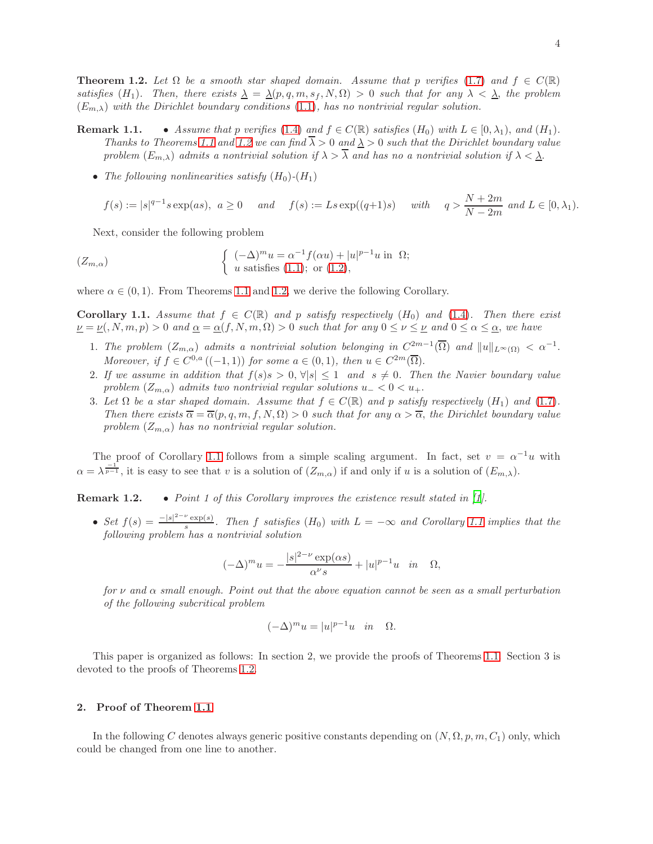**Theorem 1.2.** Let  $\Omega$  be a smooth star shaped domain. Assume that p verifies [\(1.7\)](#page-2-2) and  $f \in C(\mathbb{R})$ satisfies (H<sub>1</sub>). Then, there exists  $\underline{\lambda} = \underline{\lambda}(p, q, m, s_f, N, \Omega) > 0$  such that for any  $\lambda < \underline{\lambda}$ , the problem  $(E_{m,\lambda})$  with the Dirichlet boundary conditions [\(1.1\)](#page-0-1), has no nontrivial regular solution.

**Remark 1.1.** • Assume that p verifies [\(1.4\)](#page-1-1) and  $f \in C(\mathbb{R})$  satisfies  $(H_0)$  with  $L \in [0, \lambda_1)$ , and  $(H_1)$ . Thanks to Theorems [1.1](#page-2-3) and [1.2](#page-2-4) we can find  $\overline{\lambda} > 0$  and  $\lambda > 0$  such that the Dirichlet boundary value problem  $(E_{m,\lambda})$  admits a nontrivial solution if  $\lambda > \overline{\lambda}$  and has no a nontrivial solution if  $\lambda < \underline{\lambda}$ .

• The following nonlinearities satisfy  $(H_0)$ - $(H_1)$ 

$$
f(s) := |s|^{q-1} s \exp(as), \ a \ge 0 \quad and \quad f(s) := L s \exp((q+1)s) \quad with \quad q > \frac{N+2m}{N-2m} \ and \ L \in [0, \lambda_1).
$$

Next, consider the following problem

$$
(Z_{m,\alpha}) \qquad \qquad \left\{ \begin{array}{l} (-\Delta)^m u = \alpha^{-1} f(\alpha u) + |u|^{p-1} u \text{ in } \Omega; \\ u \text{ satisfies (1.1); or (1.2)}, \end{array} \right.
$$

<span id="page-3-0"></span>where  $\alpha \in (0, 1)$ . From Theorems [1.1](#page-2-3) and [1.2,](#page-2-4) we derive the following Corollary.

**Corollary 1.1.** Assume that  $f \in C(\mathbb{R})$  and p satisfy respectively  $(H_0)$  and  $(1.4)$ . Then there exist  $u = \nu(0, N, m, p) > 0$  and  $\underline{\alpha} = \underline{\alpha}(f, N, m, \Omega) > 0$  such that for any  $0 \le \nu \le \underline{\nu}$  and  $0 \le \alpha \le \underline{\alpha}$ , we have

- 1. The problem  $(Z_{m,\alpha})$  admits a nontrivial solution belonging in  $C^{2m-1}(\overline{\Omega})$  and  $||u||_{L^{\infty}(\Omega)} < \alpha^{-1}$ . Moreover, if  $f \in C^{0,a}((-1,1))$  for some  $a \in (0,1)$ , then  $u \in C^{2m}(\overline{\Omega})$ .
- 2. If we assume in addition that  $f(s)s > 0, \forall |s| \leq 1$  and  $s \neq 0$ . Then the Navier boundary value problem  $(Z_{m,\alpha})$  admits two nontrivial regular solutions  $u_{-} < 0 < u_{+}$ .
- 3. Let  $\Omega$  be a star shaped domain. Assume that  $f \in C(\mathbb{R})$  and p satisfy respectively  $(H_1)$  and  $(1.7)$ . Then there exists  $\overline{\alpha} = \overline{\alpha}(p, q, m, f, N, \Omega) > 0$  such that for any  $\alpha > \overline{\alpha}$ , the Dirichlet boundary value problem  $(Z_{m,\alpha})$  has no nontrivial regular solution.

The proof of Corollary [1.1](#page-3-0) follows from a simple scaling argument. In fact, set  $v = \alpha^{-1}u$  with  $\alpha = \lambda^{\frac{-1}{p-1}}$ , it is easy to see that v is a solution of  $(Z_{m,\alpha})$  if and only if u is a solution of  $(E_{m,\lambda})$ .

Remark 1.2. • Point 1 of this Corollary improves the existence result stated in [\[1\]](#page-9-4).

• Set  $f(s) = \frac{-|s|^{2-\nu} \exp(s)}{s}$  $\frac{\exp(s)}{s}$ . Then f satisfies (H<sub>0</sub>) with  $L = -\infty$  and Corollary [1.1](#page-3-0) implies that the following problem has a nontrivial solution

$$
(-\Delta)^m u = -\frac{|s|^{2-\nu} \exp(\alpha s)}{\alpha^{\nu} s} + |u|^{p-1} u \quad in \quad \Omega,
$$

for  $\nu$  and  $\alpha$  small enough. Point out that the above equation cannot be seen as a small perturbation of the following subcritical problem

$$
(-\Delta)^m u = |u|^{p-1}u \quad in \quad \Omega.
$$

This paper is organized as follows: In section 2, we provide the proofs of Theorems [1.1.](#page-2-3) Section 3 is devoted to the proofs of Theorems [1.2.](#page-2-4)

#### 2. Proof of Theorem [1.1](#page-2-3)

In the following C denotes always generic positive constants depending on  $(N, \Omega, p, m, C_1)$  only, which could be changed from one line to another.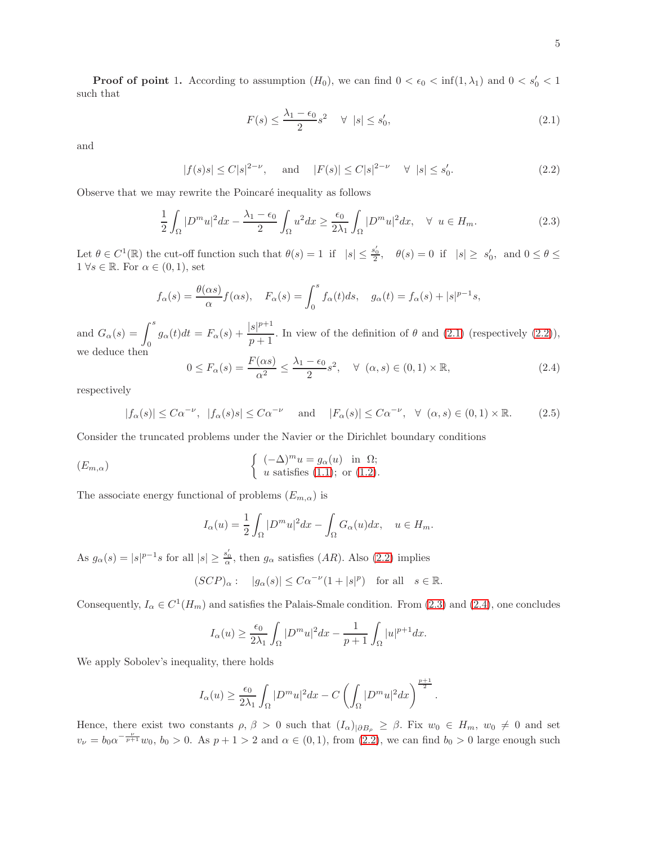**Proof of point 1.** According to assumption  $(H_0)$ , we can find  $0 < \epsilon_0 < \inf(1, \lambda_1)$  and  $0 < s'_0 < 1$ such that

<span id="page-4-1"></span><span id="page-4-0"></span>
$$
F(s) \le \frac{\lambda_1 - \epsilon_0}{2} s^2 \quad \forall \ |s| \le s'_0,\tag{2.1}
$$

and

$$
|f(s)s| \le C|s|^{2-\nu}
$$
, and  $|F(s)| \le C|s|^{2-\nu} \quad \forall |s| \le s'_0.$  (2.2)

Observe that we may rewrite the Poincaré inequality as follows

<span id="page-4-2"></span>
$$
\frac{1}{2} \int_{\Omega} |D^m u|^2 dx - \frac{\lambda_1 - \epsilon_0}{2} \int_{\Omega} u^2 dx \ge \frac{\epsilon_0}{2\lambda_1} \int_{\Omega} |D^m u|^2 dx, \quad \forall u \in H_m.
$$
\n(2.3)

Let  $\theta \in C^1(\mathbb{R})$  the cut-off function such that  $\theta(s) = 1$  if  $|s| \leq \frac{s_0'}{2}$ ,  $\theta(s) = 0$  if  $|s| \geq s_0'$ , and  $0 \leq \theta \leq$  $1 \forall s \in \mathbb{R}$ . For  $\alpha \in (0,1)$ , set

$$
f_{\alpha}(s) = \frac{\theta(\alpha s)}{\alpha} f(\alpha s), \quad F_{\alpha}(s) = \int_0^s f_{\alpha}(t) ds, \quad g_{\alpha}(t) = f_{\alpha}(s) + |s|^{p-1} s,
$$

and  $G_{\alpha}(s) = \int_0^s g_{\alpha}(t)dt = F_{\alpha}(s) + \frac{|s|^{p+1}}{p+1}$  $\frac{p}{p+1}$ . In view of the definition of  $\theta$  and [\(2.1\)](#page-4-0) (respectively [\(2.2\)](#page-4-1)), we deduce then

<span id="page-4-3"></span>
$$
0 \le F_{\alpha}(s) = \frac{F(\alpha s)}{\alpha^2} \le \frac{\lambda_1 - \epsilon_0}{2} s^2, \quad \forall \ (\alpha, s) \in (0, 1) \times \mathbb{R}, \tag{2.4}
$$

respectively

$$
|f_{\alpha}(s)| \leq C\alpha^{-\nu}, \ |f_{\alpha}(s)s| \leq C\alpha^{-\nu} \quad \text{and} \quad |F_{\alpha}(s)| \leq C\alpha^{-\nu}, \ \ \forall \ (\alpha, s) \in (0, 1) \times \mathbb{R}.\tag{2.5}
$$

Consider the truncated problems under the Navier or the Dirichlet boundary conditions

$$
(E_{m,\alpha}) \qquad \qquad \left\{ \begin{array}{ll} (-\Delta)^m u = g_{\alpha}(u) & \text{in } \Omega; \\ u \text{ satisfies (1.1); or (1.2)}. \end{array} \right.
$$

The associate energy functional of problems  $(E_{m,\alpha})$  is

$$
I_{\alpha}(u) = \frac{1}{2} \int_{\Omega} |D^m u|^2 dx - \int_{\Omega} G_{\alpha}(u) dx, \quad u \in H_m.
$$

As  $g_{\alpha}(s) = |s|^{p-1} s$  for all  $|s| \geq \frac{s_0'}{\alpha}$ , then  $g_{\alpha}$  satisfies  $(AR)$ . Also  $(2.2)$  implies

$$
(SCP)_{\alpha}: \quad |g_{\alpha}(s)| \leq C\alpha^{-\nu}(1+|s|^{p}) \quad \text{for all} \quad s \in \mathbb{R}.
$$

Consequently,  $I_{\alpha} \in C^{1}(H_{m})$  and satisfies the Palais-Smale condition. From [\(2.3\)](#page-4-2) and [\(2.4\)](#page-4-3), one concludes

$$
I_{\alpha}(u) \ge \frac{\epsilon_0}{2\lambda_1} \int_{\Omega} |D^m u|^2 dx - \frac{1}{p+1} \int_{\Omega} |u|^{p+1} dx.
$$

We apply Sobolev's inequality, there holds

$$
I_{\alpha}(u) \ge \frac{\epsilon_0}{2\lambda_1} \int_{\Omega} |D^m u|^2 dx - C \left( \int_{\Omega} |D^m u|^2 dx \right)^{\frac{p+1}{2}}.
$$

Hence, there exist two constants  $\rho, \beta > 0$  such that  $(I_{\alpha})_{|\partial B_{\rho}} \geq \beta$ . Fix  $w_0 \in H_m$ ,  $w_0 \neq 0$  and set  $v_{\nu} = b_0 \alpha^{-\frac{\nu}{p+1}} w_0$ ,  $b_0 > 0$ . As  $p+1 > 2$  and  $\alpha \in (0,1)$ , from  $(2.2)$ , we can find  $b_0 > 0$  large enough such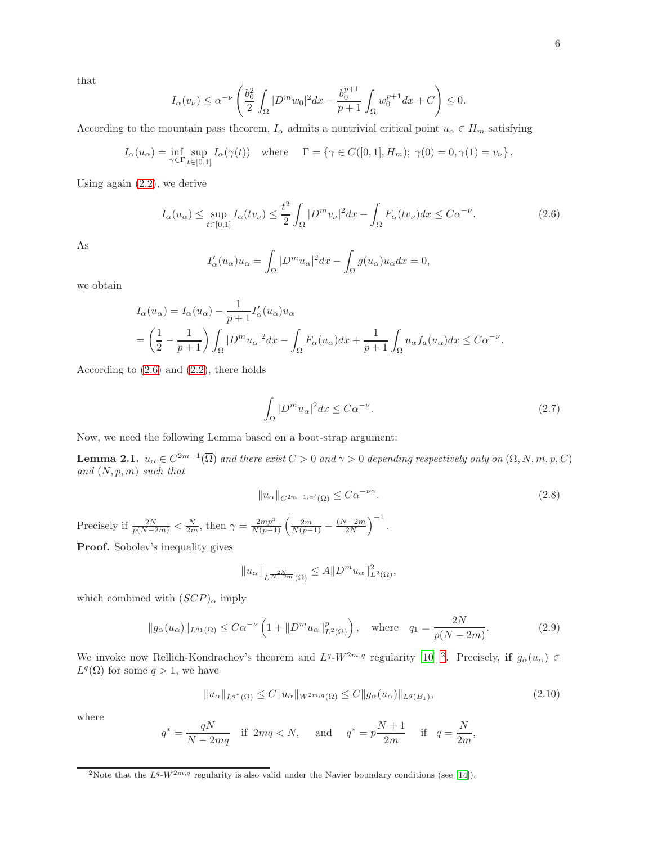that

$$
I_{\alpha}(v_{\nu}) \leq \alpha^{-\nu} \left( \frac{b_0^2}{2} \int_{\Omega} |D^m w_0|^2 dx - \frac{b_0^{p+1}}{p+1} \int_{\Omega} w_0^{p+1} dx + C \right) \leq 0.
$$

According to the mountain pass theorem,  $I_{\alpha}$  admits a nontrivial critical point  $u_{\alpha} \in H_m$  satisfying

$$
I_{\alpha}(u_{\alpha}) = \inf_{\gamma \in \Gamma} \sup_{t \in [0,1]} I_{\alpha}(\gamma(t)) \quad \text{where} \quad \Gamma = \{ \gamma \in C([0,1], H_m); \ \gamma(0) = 0, \gamma(1) = v_{\nu} \}.
$$

Using again [\(2.2\)](#page-4-1), we derive

$$
I_{\alpha}(u_{\alpha}) \leq \sup_{t \in [0,1]} I_{\alpha}(tv_{\nu}) \leq \frac{t^2}{2} \int_{\Omega} |D^m v_{\nu}|^2 dx - \int_{\Omega} F_{\alpha}(tv_{\nu}) dx \leq C \alpha^{-\nu}.
$$
 (2.6)

As

<span id="page-5-0"></span>
$$
I'_{\alpha}(u_{\alpha})u_{\alpha} = \int_{\Omega} |D^m u_{\alpha}|^2 dx - \int_{\Omega} g(u_{\alpha})u_{\alpha} dx = 0,
$$

we obtain

$$
I_{\alpha}(u_{\alpha}) = I_{\alpha}(u_{\alpha}) - \frac{1}{p+1} I_{\alpha}'(u_{\alpha}) u_{\alpha}
$$
  
=  $\left(\frac{1}{2} - \frac{1}{p+1}\right) \int_{\Omega} |D^m u_{\alpha}|^2 dx - \int_{\Omega} F_{\alpha}(u_{\alpha}) dx + \frac{1}{p+1} \int_{\Omega} u_{\alpha} f_{\alpha}(u_{\alpha}) dx \leq C\alpha^{-\nu}.$ 

According to  $(2.6)$  and  $(2.2)$ , there holds

<span id="page-5-5"></span>
$$
\int_{\Omega} |D^m u_{\alpha}|^2 dx \le C\alpha^{-\nu}.
$$
\n(2.7)

Now, we need the following Lemma based on a boot-strap argument:

**Lemma 2.1.**  $u_{\alpha} \in C^{2m-1}(\overline{\Omega})$  and there exist  $C > 0$  and  $\gamma > 0$  depending respectively only on  $(\Omega, N, m, p, C)$ and  $(N, p, m)$  such that

<span id="page-5-3"></span>
$$
||u_{\alpha}||_{C^{2m-1,\alpha'}(\Omega)} \leq C\alpha^{-\nu\gamma}.
$$
\n(2.8)

Precisely if  $\frac{2N}{p(N-2m)} < \frac{N}{2m}$ , then  $\gamma = \frac{2mp^3}{N(p-1)} \left( \frac{2m}{N(p-1)} - \frac{(N-2m)}{2N} \right)$  $\frac{N-2m}{2N}$  $\Big)^{-1}$ .

Proof. Sobolev's inequality gives

<span id="page-5-4"></span><span id="page-5-2"></span>
$$
||u_{\alpha}||_{L^{\frac{2N}{N-2m}}(\Omega)} \leq A||D^m u_{\alpha}||^2_{L^2(\Omega)},
$$

which combined with  $(SCP)_{\alpha}$  imply

$$
||g_{\alpha}(u_{\alpha})||_{L^{q_1}(\Omega)} \leq C\alpha^{-\nu} \left(1 + ||D^m u_{\alpha}||_{L^2(\Omega)}^p\right), \quad \text{where} \quad q_1 = \frac{2N}{p(N - 2m)}.
$$
 (2.9)

We invoke now Rellich-Kondrachov's theorem and  $L^{q}$ -W<sup>2m,q</sup> regularity [\[10\]](#page-9-0) <sup>[2](#page-5-1)</sup>. Precisely, if  $g_{\alpha}(u_{\alpha}) \in$  $L^q(\Omega)$  for some  $q>1$ , we have

$$
||u_{\alpha}||_{L^{q^*}(\Omega)} \leq C||u_{\alpha}||_{W^{2m,q}(\Omega)} \leq C||g_{\alpha}(u_{\alpha})||_{L^q(B_1)},
$$
\n(2.10)

where

$$
q^* = \frac{qN}{N-2mq} \quad \text{if } 2mq < N, \quad \text{ and } \quad q^* = p\frac{N+1}{2m} \quad \text{ if } \quad q = \frac{N}{2m},
$$

<span id="page-5-1"></span><sup>&</sup>lt;sup>2</sup>Note that the  $L^{q}$ -W<sup>2m,q</sup> regularity is also valid under the Navier boundary conditions (see [\[14](#page-9-7)]).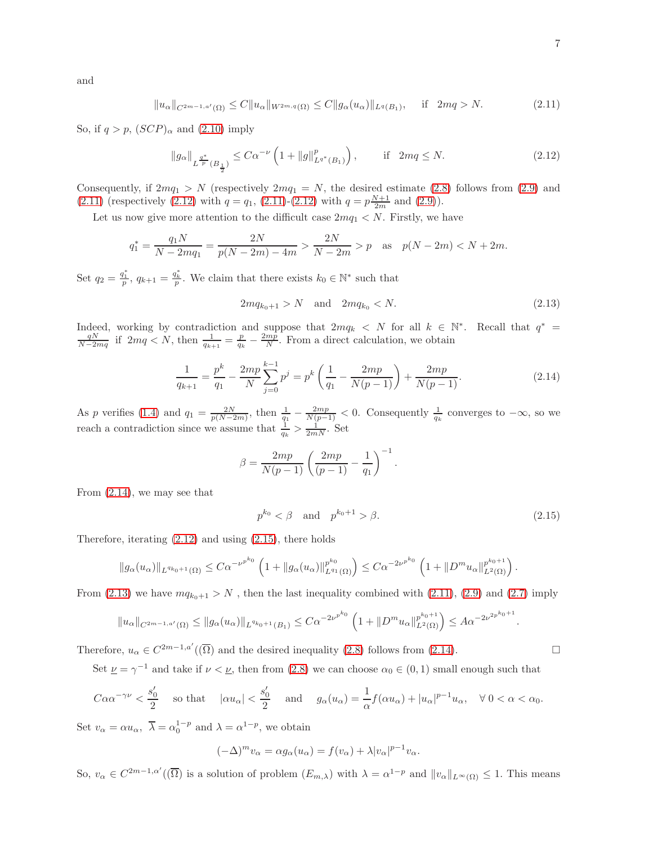<span id="page-6-0"></span>
$$
f_{\rm{max}}
$$

$$
||u_{\alpha}||_{C^{2m-1,a'}(\Omega)} \leq C||u_{\alpha}||_{W^{2m,q}(\Omega)} \leq C||g_{\alpha}(u_{\alpha})||_{L^{q}(B_1)}, \quad \text{if} \quad 2mq > N. \tag{2.11}
$$

So, if  $q > p$ ,  $(SCP)_{\alpha}$  and  $(2.10)$  imply

<span id="page-6-1"></span>
$$
\|g_{\alpha}\|_{L^{\frac{q^*}{p}}(B_{\frac{1}{2}})} \leq C\alpha^{-\nu} \left(1 + \|g\|_{L^{q^*}(B_1)}^p\right), \qquad \text{if } 2mq \leq N. \tag{2.12}
$$

Consequently, if  $2mq_1 > N$  (respectively  $2mq_1 = N$ , the desired estimate [\(2.8\)](#page-5-3) follows from [\(2.9\)](#page-5-4) and [\(2.11\)](#page-6-0) (respectively [\(2.12\)](#page-6-1) with  $q = q_1$ , [\(2.11\)](#page-6-0)-[\(2.12\)](#page-6-1) with  $q = p \frac{N+1}{2m}$  and [\(2.9\)](#page-5-4)).

Let us now give more attention to the difficult case  $2mq_1 < N$ . Firstly, we have

$$
q_1^* = \frac{q_1 N}{N - 2mq_1} = \frac{2N}{p(N - 2m) - 4m} > \frac{2N}{N - 2m} > p \quad \text{as} \quad p(N - 2m) < N + 2m.
$$

Set  $q_2 = \frac{q_1^*}{p}$ ,  $q_{k+1} = \frac{q_k^*}{p}$ . We claim that there exists  $k_0 \in \mathbb{N}^*$  such that

$$
2mq_{k_0+1} > N \quad \text{and} \quad 2mq_{k_0} < N. \tag{2.13}
$$

Indeed, working by contradiction and suppose that  $2mq_k < N$  for all  $k \in \mathbb{N}^*$ . Recall that  $q^* = \frac{qN}{N-2mq}$  if  $2mq < N$ , then  $\frac{1}{q_{k+1}} = \frac{p}{q_k} - \frac{2mp}{N}$ . From a direct calculation, we obtain

$$
\frac{1}{q_{k+1}} = \frac{p^k}{q_1} - \frac{2mp}{N} \sum_{j=0}^{k-1} p^j = p^k \left( \frac{1}{q_1} - \frac{2mp}{N(p-1)} \right) + \frac{2mp}{N(p-1)}.
$$
\n(2.14)

As p verifies [\(1.4\)](#page-1-1) and  $q_1 = \frac{2N}{p(N-2m)}$ , then  $\frac{1}{q_1} - \frac{2mp}{N(p-1)} < 0$ . Consequently  $\frac{1}{q_k}$  converges to  $-\infty$ , so we reach a contradiction since we assume that  $\frac{1}{q_k} > \frac{1}{2mN}$ . Set

$$
\beta = \frac{2mp}{N(p-1)} \left( \frac{2mp}{(p-1)} - \frac{1}{q_1} \right)^{-1}
$$

From [\(2.14\)](#page-6-2), we may see that

$$
p^{k_0} < \beta \quad \text{and} \quad p^{k_0+1} > \beta. \tag{2.15}
$$

<span id="page-6-4"></span><span id="page-6-2"></span>.

Therefore, iterating  $(2.12)$  and using  $(2.15)$ , there holds

$$
||g_{\alpha}(u_{\alpha})||_{L^{q_{k_0+1}}(\Omega)} \leq C\alpha^{-\nu^{p^{k_0}}}\left(1+\|g_{\alpha}(u_{\alpha})\|_{L^{q_1}(\Omega)}^{p^{k_0}}\right) \leq C\alpha^{-2\nu^{p^{k_0}}}\left(1+\|D^m u_{\alpha}\|_{L^2(\Omega)}^{p^{k_0+1}}\right).
$$

From [\(2.13\)](#page-6-4) we have  $mq_{k_0+1} > N$ , then the last inequality combined with [\(2.11\)](#page-6-0), [\(2.9\)](#page-5-4) and [\(2.7\)](#page-5-5) imply

$$
||u_{\alpha}||_{C^{2m-1,a'}(\Omega)} \le ||g_{\alpha}(u_{\alpha})||_{L^{q_{k_0+1}}(B_1)} \le C\alpha^{-2\nu^{p^{k_0}}}\left(1+||D^m u_{\alpha}||_{L^2(\Omega)}^{p^{k_0+1}}\right) \le A\alpha^{-2\nu^{2p^{k_0+1}}}
$$

Therefore,  $u_{\alpha} \in C^{2m-1,a'}(\overline{\Omega})$  and the desired inequality [\(2.8\)](#page-5-3) follows from [\(2.14\)](#page-6-2).

Set  $\underline{\nu} = \gamma^{-1}$  and take if  $\nu < \underline{\nu}$ , then from [\(2.8\)](#page-5-3) we can choose  $\alpha_0 \in (0,1)$  small enough such that

$$
C\alpha\alpha^{-\gamma\nu} < \frac{s_0'}{2} \quad \text{so that} \quad |\alpha u_\alpha| < \frac{s_0'}{2} \quad \text{and} \quad g_\alpha(u_\alpha) = \frac{1}{\alpha} f(\alpha u_\alpha) + |u_\alpha|^{p-1} u_\alpha, \quad \forall \ 0 < \alpha < \alpha_0.
$$

Set  $v_{\alpha} = \alpha u_{\alpha}, \ \overline{\lambda} = \alpha_0^{1-p}$  and  $\lambda = \alpha^{1-p}$ , we obtain

$$
(-\Delta)^m v_\alpha = \alpha g_\alpha(u_\alpha) = f(v_\alpha) + \lambda |v_\alpha|^{p-1} v_\alpha.
$$

So,  $v_{\alpha} \in C^{2m-1, \alpha'}(\overline{\Omega})$  is a solution of problem  $(E_{m,\lambda})$  with  $\lambda = \alpha^{1-p}$  and  $||v_{\alpha}||_{L^{\infty}(\Omega)} \leq 1$ . This means

and

<span id="page-6-3"></span>.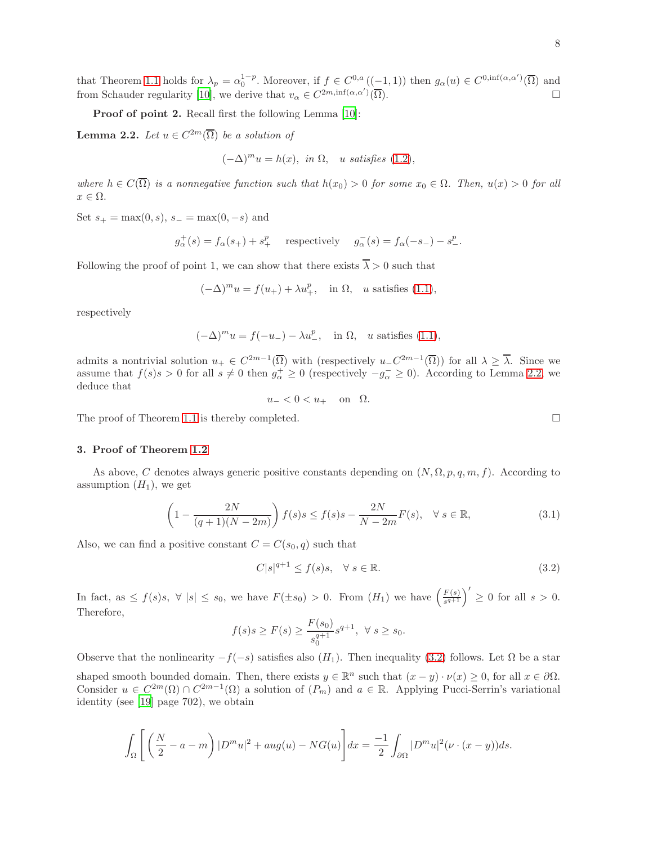Proof of point 2. Recall first the following Lemma [\[10\]](#page-9-0):

**Lemma 2.2.** Let  $u \in C^{2m}(\overline{\Omega})$  be a solution of

<span id="page-7-0"></span>
$$
(-\Delta)^m u = h(x), \text{ in } \Omega, \text{ u satisfies (1.2)},
$$

where  $h \in C(\overline{\Omega})$  is a nonnegative function such that  $h(x_0) > 0$  for some  $x_0 \in \Omega$ . Then,  $u(x) > 0$  for all  $x \in \Omega$ .

Set  $s_{+} = \max(0, s), s_{-} = \max(0, -s)$  and

$$
g_{\alpha}^+(s) = f_{\alpha}(s_+) + s_+^p
$$
 respectively  $g_{\alpha}^-(s) = f_{\alpha}(-s_-) - s_-^p$ .

Following the proof of point 1, we can show that there exists  $\overline{\lambda} > 0$  such that

$$
(-\Delta)^m u = f(u_+) + \lambda u_+^p, \quad \text{in } \Omega, \quad u \text{ satisfies (1.1)},
$$

respectively

$$
(-\Delta)^m u = f(-u_-) - \lambda u_-^p, \quad \text{in } \Omega, \quad u \text{ satisfies (1.1)},
$$

admits a nontrivial solution  $u_+ \in C^{2m-1}(\overline{\Omega})$  with (respectively  $u_- C^{2m-1}(\overline{\Omega})$ ) for all  $\lambda \geq \overline{\lambda}$ . Since we assume that  $f(s)s > 0$  for all  $s \neq 0$  then  $g_{\alpha}^+ \geq 0$  (respectively  $-g_{\alpha}^- \geq 0$ ). According to Lemma [2.2,](#page-7-0) we deduce that

 $u_{-} < 0 < u_{+}$  on  $\Omega$ .

The proof of Theorem [1.1](#page-2-3) is thereby completed.  $\square$ 

### 3. Proof of Theorem [1.2](#page-2-4)

As above, C denotes always generic positive constants depending on  $(N, \Omega, p, q, m, f)$ . According to assumption  $(H_1)$ , we get

$$
\left(1 - \frac{2N}{(q+1)(N-2m)}\right) f(s)s \le f(s)s - \frac{2N}{N-2m}F(s), \quad \forall s \in \mathbb{R},\tag{3.1}
$$

Also, we can find a positive constant  $C = C(s_0, q)$  such that

$$
C|s|^{q+1} \le f(s)s, \quad \forall \ s \in \mathbb{R}.\tag{3.2}
$$

In fact, as  $\leq f(s)s$ ,  $\forall |s| \leq s_0$ , we have  $F(\pm s_0) > 0$ . From  $(H_1)$  we have  $\left(\frac{F(s)}{s^{q+1}}\right)$  $\frac{F(s)}{s^{q+1}}$   $\Big)' \geq 0$  for all  $s > 0$ . Therefore,

$$
f(s)s \ge F(s) \ge \frac{F(s_0)}{s_0^{q+1}} s^{q+1}, \ \forall s \ge s_0.
$$

Observe that the nonlinearity  $-f(-s)$  satisfies also  $(H_1)$ . Then inequality [\(3.2\)](#page-7-1) follows. Let  $\Omega$  be a star shaped smooth bounded domain. Then, there exists  $y \in \mathbb{R}^n$  such that  $(x - y) \cdot \nu(x) \geq 0$ , for all  $x \in \partial \Omega$ . Consider  $u \in C^{2m}(\Omega) \cap C^{2m-1}(\Omega)$  a solution of  $(P_m)$  and  $a \in \mathbb{R}$ . Applying Pucci-Serrin's variational identity (see [\[19\]](#page-10-0) page 702), we obtain

$$
\int_{\Omega} \left[ \left( \frac{N}{2} - a - m \right) |D^m u|^2 + aug(u) - NG(u) \right] dx = \frac{-1}{2} \int_{\partial \Omega} |D^m u|^2 (\nu \cdot (x - y)) ds.
$$

<span id="page-7-2"></span><span id="page-7-1"></span>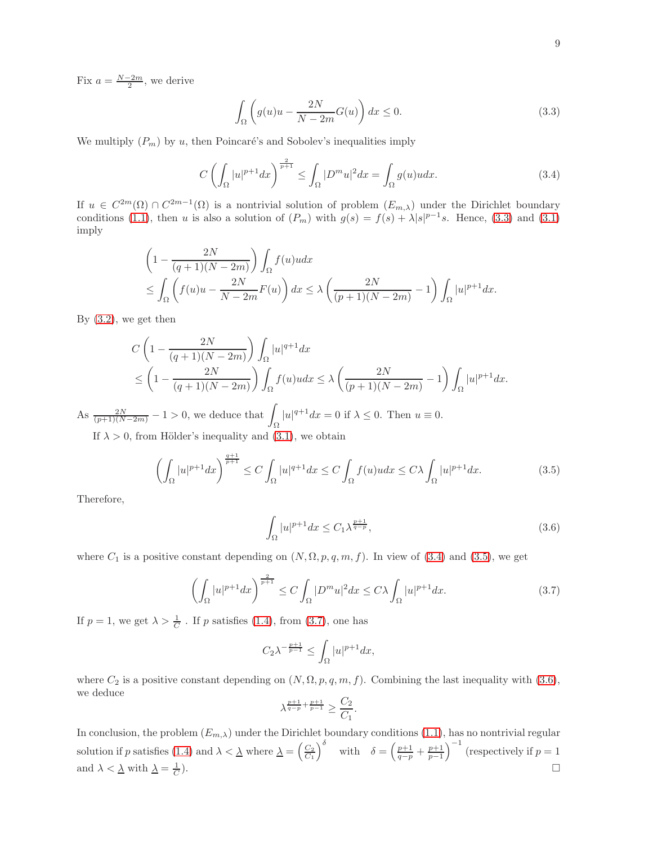Fix  $a = \frac{N-2m}{2}$ , we derive

<span id="page-8-1"></span><span id="page-8-0"></span>
$$
\int_{\Omega} \left( g(u)u - \frac{2N}{N - 2m} G(u) \right) dx \le 0.
$$
\n(3.3)

We multiply  $(P_m)$  by u, then Poincaré's and Sobolev's inequalities imply

$$
C\left(\int_{\Omega}|u|^{p+1}dx\right)^{\frac{2}{p+1}} \leq \int_{\Omega}|D^m u|^2 dx = \int_{\Omega}g(u)u dx.
$$
\n(3.4)

If  $u \in C^{2m}(\Omega) \cap C^{2m-1}(\Omega)$  is a nontrivial solution of problem  $(E_{m,\lambda})$  under the Dirichlet boundary conditions [\(1.1\)](#page-0-1), then u is also a solution of  $(P_m)$  with  $g(s) = f(s) + \lambda |s|^{p-1}s$ . Hence, [\(3.3\)](#page-8-0) and [\(3.1\)](#page-7-2) imply

$$
\left(1 - \frac{2N}{(q+1)(N-2m)}\right) \int_{\Omega} f(u)u dx
$$
  
\$\leq \int\_{\Omega} \left(f(u)u - \frac{2N}{N-2m}F(u)\right) dx \leq \lambda \left(\frac{2N}{(p+1)(N-2m)} - 1\right) \int\_{\Omega} |u|^{p+1} dx.\$

By [\(3.2\)](#page-7-1), we get then

$$
C\left(1-\frac{2N}{(q+1)(N-2m)}\right)\int_{\Omega}|u|^{q+1}dx
$$
  
\$\leq \left(1-\frac{2N}{(q+1)(N-2m)}\right)\int\_{\Omega}f(u)udx \leq \lambda\left(\frac{2N}{(p+1)(N-2m)}-1\right)\int\_{\Omega}|u|^{p+1}dx.\$

As  $\frac{2N}{(p+1)(N-2m)} - 1 > 0$ , we deduce that  $\int_{\Omega}$  $|u|^{q+1}dx = 0$  if  $\lambda \leq 0$ . Then  $u \equiv 0$ .

If  $\lambda > 0$ , from Hölder's inequality and [\(3.1\)](#page-7-2), we obtain

$$
\left(\int_{\Omega} |u|^{p+1} dx\right)^{\frac{q+1}{p+1}} \le C \int_{\Omega} |u|^{q+1} dx \le C \int_{\Omega} f(u)u dx \le C\lambda \int_{\Omega} |u|^{p+1} dx. \tag{3.5}
$$

Therefore,

<span id="page-8-4"></span><span id="page-8-3"></span><span id="page-8-2"></span>
$$
\int_{\Omega} |u|^{p+1} dx \le C_1 \lambda^{\frac{p+1}{q-p}},\tag{3.6}
$$

where  $C_1$  is a positive constant depending on  $(N, \Omega, p, q, m, f)$ . In view of [\(3.4\)](#page-8-1) and [\(3.5\)](#page-8-2), we get

$$
\left(\int_{\Omega} |u|^{p+1} dx\right)^{\frac{2}{p+1}} \le C \int_{\Omega} |D^m u|^2 dx \le C\lambda \int_{\Omega} |u|^{p+1} dx. \tag{3.7}
$$

If  $p = 1$ , we get  $\lambda > \frac{1}{C}$ . If p satisfies [\(1.4\)](#page-1-1), from [\(3.7\)](#page-8-3), one has

$$
C_2 \lambda^{-\frac{p+1}{p-1}} \le \int_{\Omega} |u|^{p+1} dx,
$$

where  $C_2$  is a positive constant depending on  $(N, \Omega, p, q, m, f)$ . Combining the last inequality with [\(3.6\)](#page-8-4), we deduce

$$
\lambda^{\frac{p+1}{q-p} + \frac{p+1}{p-1}} \ge \frac{C_2}{C_1}.
$$

In conclusion, the problem  $(E_{m,\lambda})$  under the Dirichlet boundary conditions  $(1.1)$ , has no nontrivial regular solution if p satisfies [\(1.4\)](#page-1-1) and  $\lambda < \underline{\lambda}$  where  $\underline{\lambda} = \left(\frac{C_2}{C_1}\right)^{\delta}$  with  $\delta = \left(\frac{p+1}{q-p} + \frac{p+1}{p-1}\right)^{-1}$  (respectively if  $p = 1$ ) and  $\lambda < \underline{\lambda}$  with  $\underline{\lambda} = \frac{1}{C}$ ).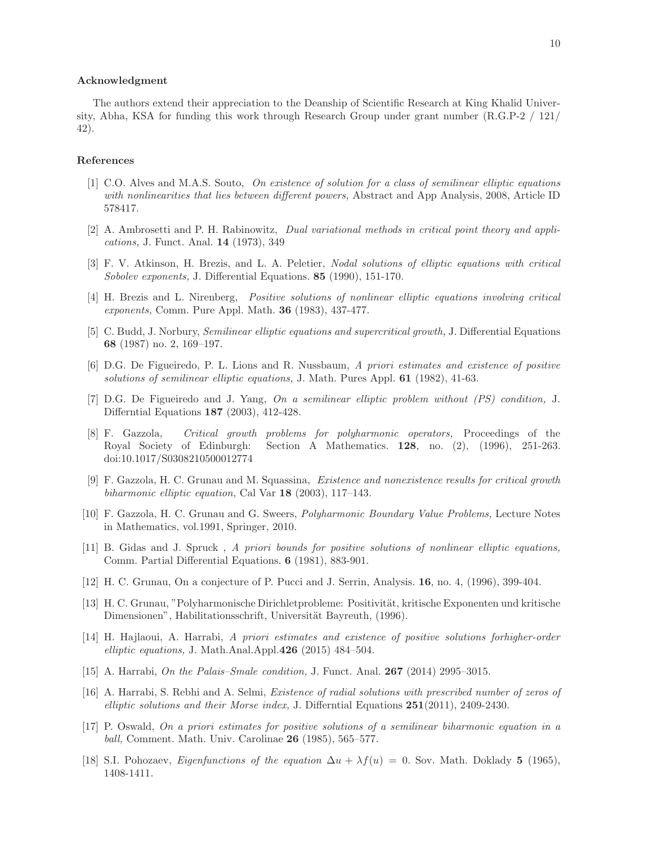#### Acknowledgment

The authors extend their appreciation to the Deanship of Scientific Research at King Khalid University, Abha, KSA for funding this work through Research Group under grant number (R.G.P-2 / 121/ 42).

## References

- <span id="page-9-4"></span>[1] C.O. Alves and M.A.S. Souto, On existence of solution for a class of semilinear elliptic equations with nonlinearities that lies between different powers, Abstract and App Analysis, 2008, Article ID 578417.
- <span id="page-9-2"></span>[2] A. Ambrosetti and P. H. Rabinowitz, Dual variational methods in critical point theory and applications, J. Funct. Anal. 14 (1973), 349
- <span id="page-9-13"></span>[3] F. V. Atkinson, H. Brezis, and L. A. Peletier, Nodal solutions of elliptic equations with critical Sobolev exponents, J. Differential Equations. 85 (1990), 151-170.
- <span id="page-9-3"></span>[4] H. Brezis and L. Nirenberg, Positive solutions of nonlinear elliptic equations involving critical exponents, Comm. Pure Appl. Math. 36 (1983), 437-477.
- <span id="page-9-9"></span>[5] C. Budd, J. Norbury, Semilinear elliptic equations and supercritical growth, J. Differential Equations 68 (1987) no. 2, 169–197.
- <span id="page-9-5"></span>[6] D.G. De Figueiredo, P. L. Lions and R. Nussbaum, A priori estimates and existence of positive solutions of semilinear elliptic equations, J. Math. Pures Appl. **61** (1982), 41-63.
- [7] D.G. De Figueiredo and J. Yang, On a semilinear elliptic problem without (PS) condition, J. Differntial Equations 187 (2003), 412-428.
- <span id="page-9-14"></span>[8] F. Gazzola, Critical growth problems for polyharmonic operators, Proceedings of the Royal Society of Edinburgh: Section A Mathematics. 128, no. (2), (1996), 251-263. doi:10.1017/S0308210500012774
- <span id="page-9-16"></span>[9] F. Gazzola, H. C. Grunau and M. Squassina, Existence and nonexistence results for critical growth biharmonic elliptic equation, Cal Var 18 (2003), 117–143.
- <span id="page-9-0"></span>[10] F. Gazzola, H. C. Grunau and G. Sweers, Polyharmonic Boundary Value Problems, Lecture Notes in Mathematics, vol.1991, Springer, 2010.
- <span id="page-9-6"></span>[11] B. Gidas and J. Spruck , A priori bounds for positive solutions of nonlinear elliptic equations, Comm. Partial Differential Equations. 6 (1981), 883-901.
- <span id="page-9-15"></span>[12] H. C. Grunau, On a conjecture of P. Pucci and J. Serrin, Analysis. 16, no. 4, (1996), 399-404.
- <span id="page-9-12"></span>[13] H. C. Grunau, "Polyharmonische Dirichletprobleme: Positivität, kritische Exponenten und kritische Dimensionen", Habilitationsschrift, Universität Bayreuth, (1996).
- <span id="page-9-7"></span>[14] H. Hajlaoui, A. Harrabi, A priori estimates and existence of positive solutions forhigher-order elliptic equations, J. Math.Anal.Appl. $426$  (2015) 484–504.
- <span id="page-9-1"></span>[15] A. Harrabi, On the Palais–Smale condition, J. Funct. Anal. 267 (2014) 2995–3015.
- <span id="page-9-8"></span>[16] A. Harrabi, S. Rebhi and A. Selmi, Existence of radial solutions with prescribed number of zeros of elliptic solutions and their Morse index, J. Differntial Equations  $251(2011)$ , 2409-2430.
- <span id="page-9-11"></span>[17] P. Oswald, On a priori estimates for positive solutions of a semilinear biharmonic equation in a ball, Comment. Math. Univ. Carolinae 26 (1985), 565–577.
- <span id="page-9-10"></span>[18] S.I. Pohozaev, Eigenfunctions of the equation  $\Delta u + \lambda f(u) = 0$ . Sov. Math. Doklady 5 (1965), 1408-1411.